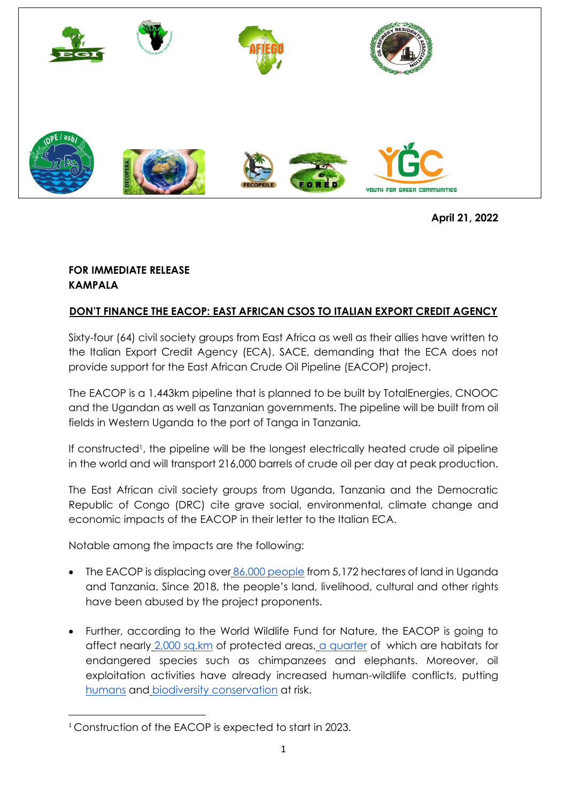

**April 21, 2022**

## **FOR IMMEDIATE RELEASE KAMPALA**

## **DON'T FINANCE THE EACOP: EAST AFRICAN CSOS TO ITALIAN EXPORT CREDIT AGENCY**

Sixty-four (64) civil society groups from East Africa as well as their allies have written to the Italian Export Credit Agency (ECA), SACE, demanding that the ECA does not provide support for the East African Crude Oil Pipeline (EACOP) project.

The EACOP is a 1,443km pipeline that is planned to be built by TotalEnergies, CNOOC and the Ugandan as well as Tanzanian governments. The pipeline will be built from oil fields in Western Uganda to the port of Tanga in Tanzania.

If constructed<sup>1</sup>, the pipeline will be the longest electrically heated crude oil pipeline in the world and will transport 216,000 barrels of crude oil per day at peak production.

The East African civil society groups from Uganda, Tanzania and the Democratic Republic of Congo (DRC) cite grave social, environmental, climate change and economic impacts of the EACOP in their letter to the Italian ECA.

Notable among the impacts are the following:

- The EACOP is displacing over [86,000 people](https://www.amisdelaterre.org/wp-content/uploads/2021/04/20210407-numbers-of-individual-persons-affected-by-eacop.pdf) from 5,172 hectares of land in Uganda and Tanzania. Since 2018, the people's land, livelihood, cultural and other rights have been abused by the project proponents.
- Further, according to the World Wildlife Fund for Nature, the EACOP is going to affect nearly [2,000 sq.km](https://wwf-sight.org/wp-content/uploads/2017/07/Safeguarding-Nature-and-People-Oil-and-Gas-Pipeline_Factsheet.pdf) of protected areas, [a quarter](https://news.mongabay.com/2021/04/totals-east-african-oil-pipeline-to-go-ahead-despite-stiff-opposition/) of which are habitats for endangered species such as chimpanzees and elephants. Moreover, oil exploitation activities have already increased human-wildlife conflicts, puttin[g](https://kazi-njemanews.com/baby-dies-from-chimpanzee-attack-injuries-in-hoima/) [humans](https://kazi-njemanews.com/baby-dies-from-chimpanzee-attack-injuries-in-hoima/) and [biodiversity conservation](https://kazi-njemanews.com/residents-kill-two-chimpanzees-in-retaliation-uwa-reacts-in-hoima/) at risk.

<sup>1</sup> Construction of the EACOP is expected to start in 2023.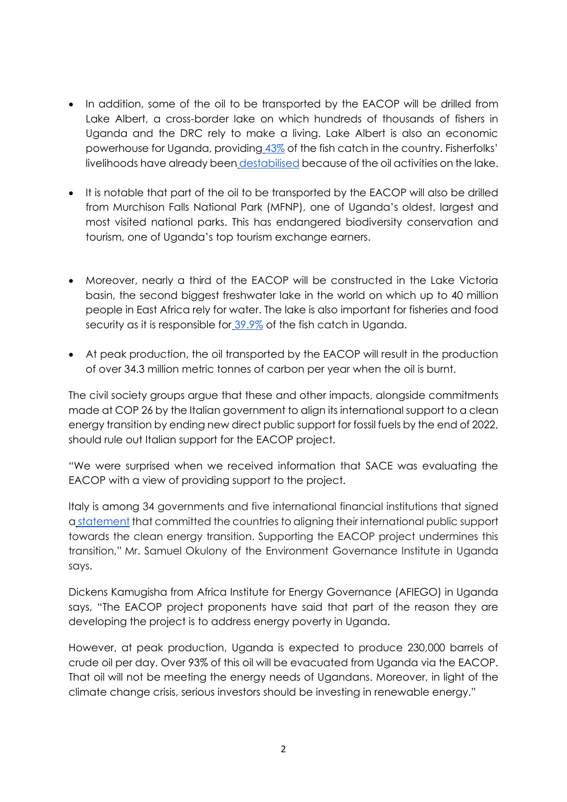- In addition, some of the oil to be transported by the EACOP will be drilled from Lake Albert, a cross-border lake on which hundreds of thousands of fishers in Uganda and the DRC rely to make a living. Lake Albert is also an economic powerhouse for Uganda, providing [43%](https://www.ubos.org/wp-content/uploads/publications/01_20202019_Statistical_Abstract_-Final.pdf) of the fish catch in the country. Fisherfolks' livelihoods have already been [destabilised](https://www.ft.com/content/e1670042-11bd-4c68-9bde-a599d94bd8c0) because of the oil activities on the lake.
- It is notable that part of the oil to be transported by the EACOP will also be drilled from Murchison Falls National Park (MFNP), one of Uganda's oldest, largest and most visited national parks. This has endangered biodiversity conservation and tourism, one of Uganda's top tourism exchange earners.
- Moreover, nearly a third of the EACOP will be constructed in the Lake Victoria basin, the second biggest freshwater lake in the world on which up to 40 million people in East Africa rely for water. The lake is also important for fisheries and food security as it is responsible for [39.9%](https://www.ubos.org/wp-content/uploads/publications/01_20202019_Statistical_Abstract_-Final.pdf) of the fish catch in Uganda.
- At peak production, the oil transported by the EACOP will result in the production of over 34.3 million metric tonnes of carbon per year when the oil is burnt.

The civil society groups argue that these and other impacts, alongside commitments made at COP 26 by the Italian government to align its international support to a clean energy transition by ending new direct public support for fossil fuels by the end of 2022, should rule out Italian support for the EACOP project.

"We were surprised when we received information that SACE was evaluating the EACOP with a view of providing support to the project.

Italy is among 34 governments and five international financial institutions that signed a [statement](https://ukcop26.org/statement-on-international-public-support-for-the-clean-energy-transition/) that committed the countries to aligning their international public support towards the clean energy transition. Supporting the EACOP project undermines this transition," Mr. Samuel Okulony of the Environment Governance Institute in Uganda says.

Dickens Kamugisha from Africa Institute for Energy Governance (AFIEGO) in Uganda says, "The EACOP project proponents have said that part of the reason they are developing the project is to address energy poverty in Uganda.

However, at peak production, Uganda is expected to produce 230,000 barrels of crude oil per day. Over 93% of this oil will be evacuated from Uganda via the EACOP. That oil will not be meeting the energy needs of Ugandans. Moreover, in light of the climate change crisis, serious investors should be investing in renewable energy."